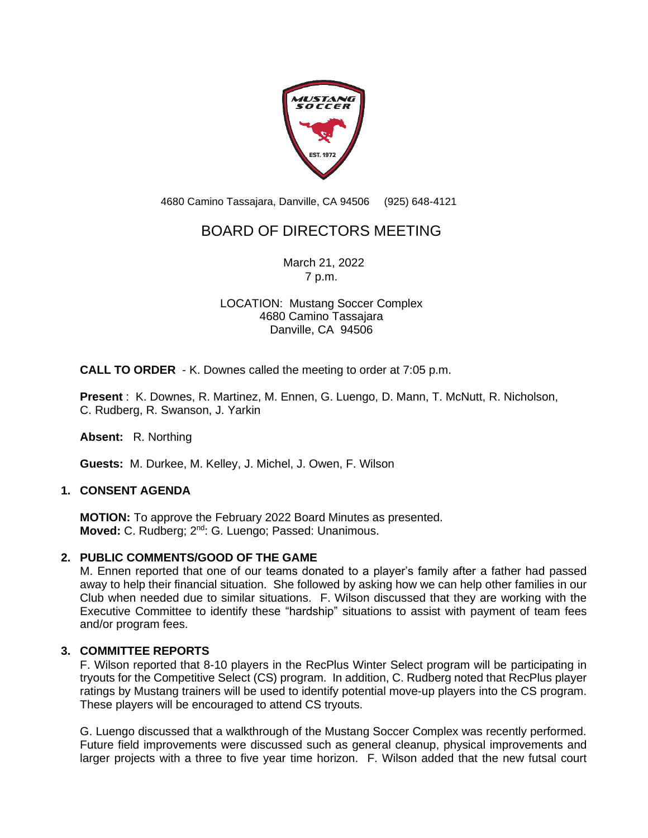

4680 Camino Tassajara, Danville, CA 94506 (925) 648-4121

# BOARD OF DIRECTORS MEETING

March 21, 2022 7 p.m.

## LOCATION: Mustang Soccer Complex 4680 Camino Tassajara Danville, CA 94506

**CALL TO ORDER** - K. Downes called the meeting to order at 7:05 p.m.

**Present** : K. Downes, R. Martinez, M. Ennen, G. Luengo, D. Mann, T. McNutt, R. Nicholson, C. Rudberg, R. Swanson, J. Yarkin

**Absent:** R. Northing

**Guests:** M. Durkee, M. Kelley, J. Michel, J. Owen, F. Wilson

## **1. CONSENT AGENDA**

**MOTION:** To approve the February 2022 Board Minutes as presented. Moved: C. Rudberg; 2<sup>nd</sup>: G. Luengo; Passed: Unanimous.

#### **2. PUBLIC COMMENTS/GOOD OF THE GAME**

M. Ennen reported that one of our teams donated to a player's family after a father had passed away to help their financial situation. She followed by asking how we can help other families in our Club when needed due to similar situations. F. Wilson discussed that they are working with the Executive Committee to identify these "hardship" situations to assist with payment of team fees and/or program fees.

## **3. COMMITTEE REPORTS**

F. Wilson reported that 8-10 players in the RecPlus Winter Select program will be participating in tryouts for the Competitive Select (CS) program. In addition, C. Rudberg noted that RecPlus player ratings by Mustang trainers will be used to identify potential move-up players into the CS program. These players will be encouraged to attend CS tryouts.

G. Luengo discussed that a walkthrough of the Mustang Soccer Complex was recently performed. Future field improvements were discussed such as general cleanup, physical improvements and larger projects with a three to five year time horizon. F. Wilson added that the new futsal court